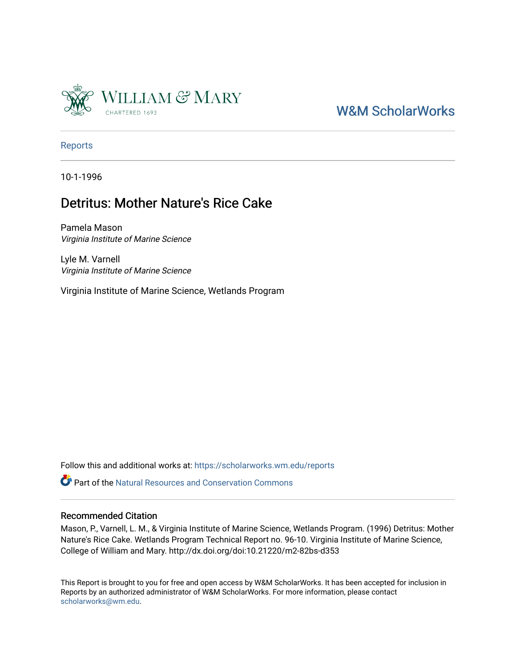

# [W&M ScholarWorks](https://scholarworks.wm.edu/)

[Reports](https://scholarworks.wm.edu/reports)

10-1-1996

## Detritus: Mother Nature's Rice Cake

Pamela Mason Virginia Institute of Marine Science

Lyle M. Varnell Virginia Institute of Marine Science

Virginia Institute of Marine Science, Wetlands Program

Follow this and additional works at: [https://scholarworks.wm.edu/reports](https://scholarworks.wm.edu/reports?utm_source=scholarworks.wm.edu%2Freports%2F631&utm_medium=PDF&utm_campaign=PDFCoverPages)

**C**<sup> $\bullet$ </sup> Part of the Natural Resources and Conservation Commons

#### Recommended Citation

Mason, P., Varnell, L. M., & Virginia Institute of Marine Science, Wetlands Program. (1996) Detritus: Mother Nature's Rice Cake. Wetlands Program Technical Report no. 96-10. Virginia Institute of Marine Science, College of William and Mary. http://dx.doi.org/doi:10.21220/m2-82bs-d353

This Report is brought to you for free and open access by W&M ScholarWorks. It has been accepted for inclusion in Reports by an authorized administrator of W&M ScholarWorks. For more information, please contact [scholarworks@wm.edu.](mailto:scholarworks@wm.edu)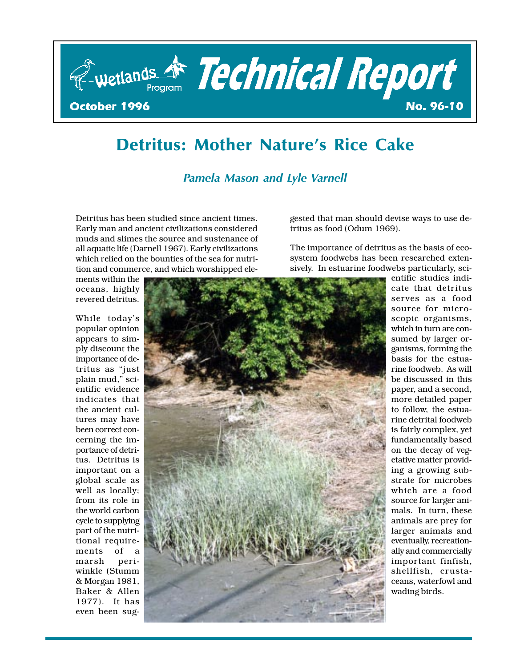

# Detritus: Mother Nature's Rice Cake

#### Pamela Mason and Lyle Varnell

Detritus has been studied since ancient times. Early man and ancient civilizations considered muds and slimes the source and sustenance of all aquatic life (Darnell 1967). Early civilizations which relied on the bounties of the sea for nutrition and commerce, and which worshipped ele-

ments within the oceans, highly revered detritus.

While today's popular opinion appears to simply discount the importance of detritus as "just plain mud," scientific evidence indicates that the ancient cultures may have been correct concerning the importance of detritus. Detritus is important on a global scale as well as locally; from its role in the world carbon cycle to supplying part of the nutritional requirements of a marsh periwinkle (Stumm & Morgan 1981, Baker & Allen 1977). It has even been sug-



1

gested that man should devise ways to use detritus as food (Odum 1969).

The importance of detritus as the basis of ecosystem foodwebs has been researched extensively. In estuarine foodwebs particularly, sci-

> entific studies indicate that detritus serves as a food source for microscopic organisms, which in turn are consumed by larger organisms, forming the basis for the estuarine foodweb. As will be discussed in this paper, and a second, more detailed paper to follow, the estuarine detrital foodweb is fairly complex, yet fundamentally based on the decay of vegetative matter providing a growing substrate for microbes which are a food source for larger animals. In turn, these animals are prey for larger animals and eventually, recreationally and commercially important finfish, shellfish, crustaceans, waterfowl and wading birds.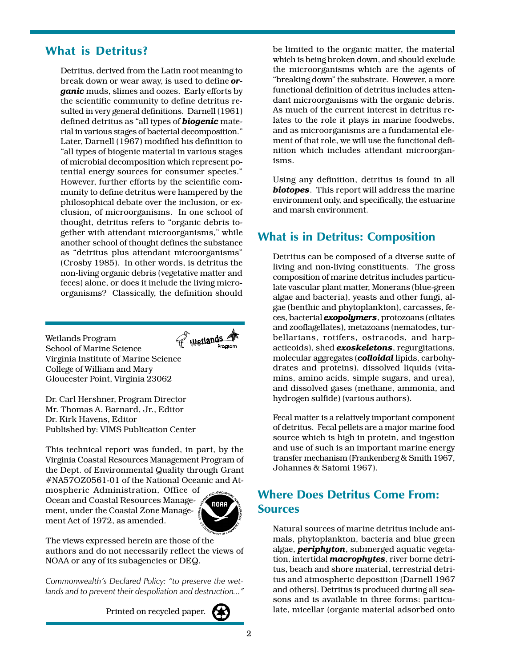#### What is Detritus?

Detritus, derived from the Latin root meaning to break down or wear away, is used to define or**ganic** muds, slimes and oozes. Early efforts by the scientific community to define detritus resulted in very general definitions. Darnell (1961) defined detritus as "all types of **biogenic** material in various stages of bacterial decomposition. Later, Darnell (1967) modified his definition to all types of biogenic material in various stages of microbial decomposition which represent potential energy sources for consumer species. However, further efforts by the scientific community to define detritus were hampered by the philosophical debate over the inclusion, or exclusion, of microorganisms. In one school of thought, detritus refers to "organic debris together with attendant microorganisms, while another school of thought defines the substance as "detritus plus attendant microorganisms" (Crosby 1985). In other words, is detritus the non-living organic debris (vegetative matter and feces) alone, or does it include the living microorganisms? Classically, the definition should

Wetlands Wetlands Program School of Marine Science Virginia Institute of Marine Science College of William and Mary Gloucester Point, Virginia 23062

Dr. Carl Hershner, Program Director Mr. Thomas A. Barnard, Jr., Editor Dr. Kirk Havens, Editor Published by: VIMS Publication Center

This technical report was funded, in part, by the Virginia Coastal Resources Management Program of the Dept. of Environmental Quality through Grant #NA57OZ0561-01 of the National Oceanic and At-

mospheric Administration, Office of Ocean and Coastal Resources Management, under the Coastal Zone Management Act of 1972, as amended.



The views expressed herein are those of the authors and do not necessarily reflect the views of NOAA or any of its subagencies or DEQ.

Commonwealth's Declared Policy: "to preserve the wetlands and to prevent their despoliation and destruction..."

Printed on recycled paper.

be limited to the organic matter, the material which is being broken down, and should exclude the microorganisms which are the agents of "breaking down" the substrate. However, a more functional definition of detritus includes attendant microorganisms with the organic debris. As much of the current interest in detritus relates to the role it plays in marine foodwebs, and as microorganisms are a fundamental element of that role, we will use the functional definition which includes attendant microorganisms.

Using any definition, detritus is found in all biotopes. This report will address the marine environment only, and specifically, the estuarine and marsh environment.

#### What is in Detritus: Composition

Detritus can be composed of a diverse suite of living and non-living constituents. The gross composition of marine detritus includes particulate vascular plant matter, Monerans (blue-green algae and bacteria), yeasts and other fungi, algae (benthic and phytoplankton), carcasses, feces, bacterial *exopolymers*, protozoans (ciliates and zooflagellates), metazoans (nematodes, turbellarians, rotifers, ostracods, and harpacticoids), shed **exoskeletons**, regurgitations, molecular aggregates (colloidal lipids, carbohydrates and proteins), dissolved liquids (vitamins, amino acids, simple sugars, and urea), and dissolved gases (methane, ammonia, and hydrogen sulfide) (various authors).

Fecal matter is a relatively important component of detritus. Fecal pellets are a major marine food source which is high in protein, and ingestion and use of such is an important marine energy transfer mechanism (Frankenberg & Smith 1967, Johannes & Satomi 1967).

#### Where Does Detritus Come From: **Sources**

Natural sources of marine detritus include animals, phytoplankton, bacteria and blue green algae, *periphyton*, submerged aquatic vegetation, intertidal *macrophytes*, river borne detritus, beach and shore material, terrestrial detritus and atmospheric deposition (Darnell 1967 and others). Detritus is produced during all seasons and is available in three forms: particulate, micellar (organic material adsorbed onto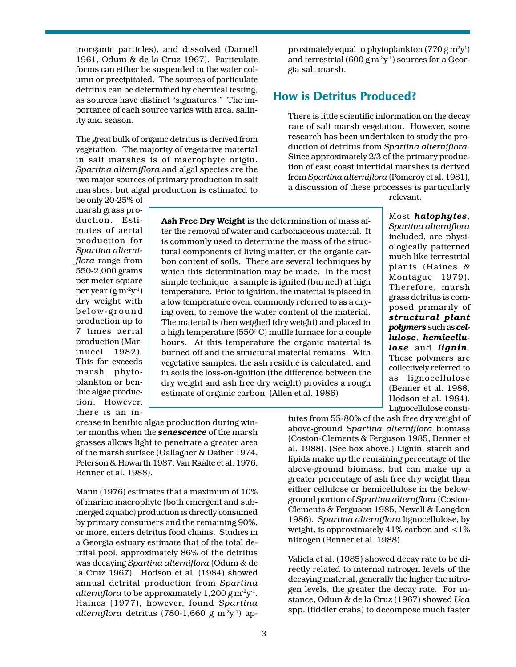inorganic particles), and dissolved (Darnell 1961, Odum & de la Cruz 1967). Particulate forms can either be suspended in the water column or precipitated. The sources of particulate detritus can be determined by chemical testing, as sources have distinct "signatures." The importance of each source varies with area, salinity and season.

The great bulk of organic detritus is derived from vegetation. The majority of vegetative material in salt marshes is of macrophyte origin. Spartina alterniflora and algal species are the two major sources of primary production in salt marshes, but algal production is estimated to

be only 20-25% of marsh grass production. Estimates of aerial production for Spartina alterniflora range from 550-2,000 grams per meter square per year  $(g m^2 y^1)$ dry weight with below-ground production up to 7 times aerial production (Marinucci 1982). This far exceeds marsh phytoplankton or benthic algae production. However, there is an in-

Ash Free Dry Weight is the determination of mass after the removal of water and carbonaceous material. It is commonly used to determine the mass of the structural components of living matter, or the organic carbon content of soils. There are several techniques by which this determination may be made. In the most simple technique, a sample is ignited (burned) at high temperature. Prior to ignition, the material is placed in a low temperature oven, commonly referred to as a drying oven, to remove the water content of the material. The material is then weighed (dry weight) and placed in a high temperature (550° C) muffle furnace for a couple hours. At this temperature the organic material is burned off and the structural material remains. With vegetative samples, the ash residue is calculated, and in soils the loss-on-ignition (the difference between the dry weight and ash free dry weight) provides a rough estimate of organic carbon. (Allen et al. 1986)

crease in benthic algae production during winter months when the **senescence** of the marsh grasses allows light to penetrate a greater area of the marsh surface (Gallagher & Daiber 1974, Peterson & Howarth 1987, Van Raalte et al. 1976, Benner et al. 1988).

Mann (1976) estimates that a maximum of 10% of marine macrophyte (both emergent and submerged aquatic) production is directly consumed by primary consumers and the remaining 90%, or more, enters detritus food chains. Studies in a Georgia estuary estimate that of the total detrital pool, approximately 86% of the detritus was decaying Spartina alterniflora (Odum & de la Cruz 1967). Hodson et al. (1984) showed annual detrital production from Spartina alterniflora to be approximately 1,200  $\rm g\,m^2y^1$ . Haines (1977), however, found Spartina alterniflora detritus (780-1,660 g m<sup>-2</sup>y<sup>-1</sup>) approximately equal to phytoplankton (770 g m<sup>2</sup>y<sup>1</sup>) and terrestrial (600 g  $m^2y^1$ ) sources for a Georgia salt marsh.

#### How is Detritus Produced?

There is little scientific information on the decay rate of salt marsh vegetation. However, some research has been undertaken to study the production of detritus from Spartina alterniflora. Since approximately 2/3 of the primary production of east coast intertidal marshes is derived from Spartina alterniflora (Pomeroy et al. 1981), a discussion of these processes is particularly

relevant.

Most halophytes, Spartina alterniflora included, are physiologically patterned much like terrestrial plants (Haines & Montague 1979). Therefore, marsh grass detritus is composed primarily of structural plant polymers such as cellulose, hemicellulose and lignin. These polymers are collectively referred to as lignocellulose (Benner et al. 1988, Hodson et al. 1984). Lignocellulose consti-

tutes from 55-80% of the ash free dry weight of above-ground Spartina alterniflora biomass (Coston-Clements & Ferguson 1985, Benner et al. 1988). (See box above.) Lignin, starch and lipids make up the remaining percentage of the above-ground biomass, but can make up a greater percentage of ash free dry weight than either cellulose or hemicellulose in the belowground portion of Spartina alterniflora (Coston-Clements & Ferguson 1985, Newell & Langdon 1986). Spartina alterniflora lignocellulose, by weight, is approximately  $41\%$  carbon and  $\leq 1\%$ nitrogen (Benner et al. 1988).

Valiela et al. (1985) showed decay rate to be directly related to internal nitrogen levels of the decaying material, generally the higher the nitrogen levels, the greater the decay rate. For instance, Odum & de la Cruz (1967) showed Uca spp. (fiddler crabs) to decompose much faster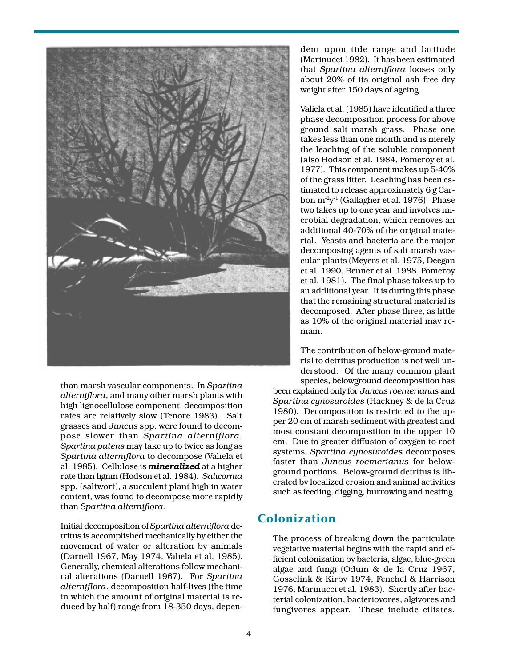

than marsh vascular components. In Spartina alterniflora, and many other marsh plants with high lignocellulose component, decomposition rates are relatively slow (Tenore 1983). Salt grasses and Juncus spp. were found to decompose slower than Spartina alterniflora. Spartina patens may take up to twice as long as Spartina alterniflora to decompose (Valiela et al. 1985). Cellulose is **mineralized** at a higher rate than lignin (Hodson et al. 1984). Salicornia spp. (saltwort), a succulent plant high in water content, was found to decompose more rapidly than Spartina alterniflora.

Initial decomposition of Spartina alterniflora detritus is accomplished mechanically by either the movement of water or alteration by animals (Darnell 1967, May 1974, Valiela et al. 1985). Generally, chemical alterations follow mechanical alterations (Darnell 1967). For Spartina alterniflora, decomposition half-lives (the time in which the amount of original material is reduced by half) range from 18-350 days, depen-

dent upon tide range and latitude (Marinucci 1982). It has been estimated that Spartina alterniflora looses only about 20% of its original ash free dry weight after 150 days of ageing.

Valiela et al. (1985) have identified a three phase decomposition process for above ground salt marsh grass. Phase one takes less than one month and is merely the leaching of the soluble component (also Hodson et al. 1984, Pomeroy et al. 1977). This component makes up 5-40% of the grass litter. Leaching has been estimated to release approximately 6 g Carbon  $m^2v^1$  (Gallagher et al. 1976). Phase two takes up to one year and involves microbial degradation, which removes an additional 40-70% of the original material. Yeasts and bacteria are the major decomposing agents of salt marsh vascular plants (Meyers et al. 1975, Deegan et al. 1990, Benner et al. 1988, Pomeroy et al. 1981). The final phase takes up to an additional year. It is during this phase that the remaining structural material is decomposed. After phase three, as little as 10% of the original material may remain.

The contribution of below-ground material to detritus production is not well understood. Of the many common plant species, belowground decomposition has

been explained only for Juncus roemerianus and Spartina cynosuroides (Hackney & de la Cruz 1980). Decomposition is restricted to the upper 20 cm of marsh sediment with greatest and most constant decomposition in the upper 10 cm. Due to greater diffusion of oxygen to root systems, Spartina cynosuroides decomposes faster than Juncus roemerianus for belowground portions. Below-ground detritus is liberated by localized erosion and animal activities such as feeding, digging, burrowing and nesting.

#### Colonization

The process of breaking down the particulate vegetative material begins with the rapid and efficient colonization by bacteria, algae, blue-green algae and fungi (Odum & de la Cruz 1967, Gosselink & Kirby 1974, Fenchel & Harrison 1976, Marinucci et al. 1983). Shortly after bacterial colonization, bacteriovores, algivores and fungivores appear. These include ciliates,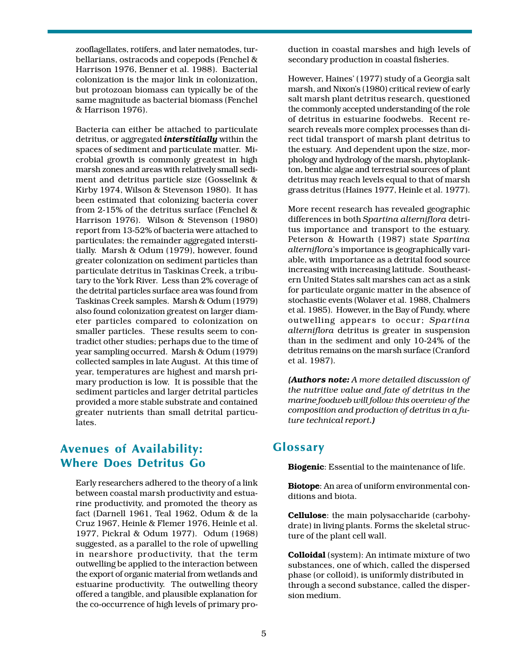zooflagellates, rotifers, and later nematodes, turbellarians, ostracods and copepods (Fenchel & Harrison 1976, Benner et al. 1988). Bacterial colonization is the major link in colonization, but protozoan biomass can typically be of the same magnitude as bacterial biomass (Fenchel & Harrison 1976).

Bacteria can either be attached to particulate detritus, or aggregated *interstitially* within the spaces of sediment and particulate matter. Microbial growth is commonly greatest in high marsh zones and areas with relatively small sediment and detritus particle size (Gosselink & Kirby 1974, Wilson & Stevenson 1980). It has been estimated that colonizing bacteria cover from 2-15% of the detritus surface (Fenchel & Harrison 1976). Wilson & Stevenson (1980) report from 13-52% of bacteria were attached to particulates; the remainder aggregated interstitially. Marsh & Odum (1979), however, found greater colonization on sediment particles than particulate detritus in Taskinas Creek, a tributary to the York River. Less than 2% coverage of the detrital particles surface area was found from Taskinas Creek samples. Marsh & Odum (1979) also found colonization greatest on larger diameter particles compared to colonization on smaller particles. These results seem to contradict other studies; perhaps due to the time of year sampling occurred. Marsh & Odum (1979) collected samples in late August. At this time of year, temperatures are highest and marsh primary production is low. It is possible that the sediment particles and larger detrital particles provided a more stable substrate and contained greater nutrients than small detrital particulates.

#### Avenues of Availability: Where Does Detritus Go

Early researchers adhered to the theory of a link between coastal marsh productivity and estuarine productivity, and promoted the theory as fact (Darnell 1961, Teal 1962, Odum & de la Cruz 1967, Heinle & Flemer 1976, Heinle et al. 1977, Pickral & Odum 1977). Odum (1968) suggested, as a parallel to the role of upwelling in nearshore productivity, that the term outwelling be applied to the interaction between the export of organic material from wetlands and estuarine productivity. The outwelling theory offered a tangible, and plausible explanation for the co-occurrence of high levels of primary production in coastal marshes and high levels of secondary production in coastal fisheries.

However, Haines' (1977) study of a Georgia salt marsh, and Nixon's (1980) critical review of early salt marsh plant detritus research, questioned the commonly accepted understanding of the role of detritus in estuarine foodwebs. Recent research reveals more complex processes than direct tidal transport of marsh plant detritus to the estuary. And dependent upon the size, morphology and hydrology of the marsh, phytoplankton, benthic algae and terrestrial sources of plant detritus may reach levels equal to that of marsh grass detritus (Haines 1977, Heinle et al. 1977).

More recent research has revealed geographic differences in both Spartina alterniflora detritus importance and transport to the estuary. Peterson & Howarth (1987) state Spartina alterniflora's importance is geographically variable, with importance as a detrital food source increasing with increasing latitude. Southeastern United States salt marshes can act as a sink for particulate organic matter in the absence of stochastic events (Wolaver et al. 1988, Chalmers et al. 1985). However, in the Bay of Fundy, where outwelling appears to occur; Spartina alterniflora detritus is greater in suspension than in the sediment and only 10-24% of the detritus remains on the marsh surface (Cranford et al. 1987).

(Authors note: A more detailed discussion of the nutritive value and fate of detritus in the marine foodweb will follow this overview of the composition and production of detritus in a future technical report.)

#### **Glossary**

Biogenic: Essential to the maintenance of life.

Biotope: An area of uniform environmental conditions and biota.

Cellulose: the main polysaccharide (carbohydrate) in living plants. Forms the skeletal structure of the plant cell wall.

Colloidal (system): An intimate mixture of two substances, one of which, called the dispersed phase (or colloid), is uniformly distributed in through a second substance, called the dispersion medium.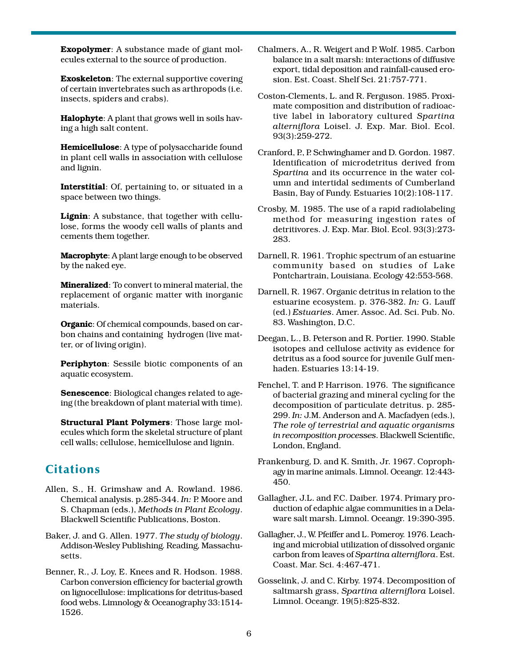**Exopolymer**: A substance made of giant molecules external to the source of production.

Exoskeleton: The external supportive covering of certain invertebrates such as arthropods (i.e. insects, spiders and crabs).

Halophyte: A plant that grows well in soils having a high salt content.

Hemicellulose: A type of polysaccharide found in plant cell walls in association with cellulose and lignin.

Interstitial: Of, pertaining to, or situated in a space between two things.

Lignin: A substance, that together with cellulose, forms the woody cell walls of plants and cements them together.

Macrophyte: A plant large enough to be observed by the naked eye.

Mineralized: To convert to mineral material, the replacement of organic matter with inorganic materials.

Organic: Of chemical compounds, based on carbon chains and containing hydrogen (live matter, or of living origin).

Periphyton: Sessile biotic components of an aquatic ecosystem.

Senescence: Biological changes related to ageing (the breakdown of plant material with time).

Structural Plant Polymers: Those large molecules which form the skeletal structure of plant cell walls; cellulose, hemicellulose and lignin.

### **Citations**

- Allen, S., H. Grimshaw and A. Rowland. 1986. Chemical analysis. p.285-344. In: P. Moore and S. Chapman (eds.), Methods in Plant Ecology. Blackwell Scientific Publications, Boston.
- Baker, J. and G. Allen. 1977. The study of biology. Addison-Wesley Publishing. Reading, Massachusetts.
- Benner, R., J. Loy, E. Knees and R. Hodson. 1988. Carbon conversion efficiency for bacterial growth on lignocellulose: implications for detritus-based food webs. Limnology & Oceanography 33:1514- 1526.
- Chalmers, A., R. Weigert and P. Wolf. 1985. Carbon balance in a salt marsh: interactions of diffusive export, tidal deposition and rainfall-caused erosion. Est. Coast. Shelf Sci. 21:757-771.
- Coston-Clements, L. and R. Ferguson. 1985. Proximate composition and distribution of radioactive label in laboratory cultured Spartina alterniflora Loisel. J. Exp. Mar. Biol. Ecol. 93(3):259-272.
- Cranford, P., P. Schwinghamer and D. Gordon. 1987. Identification of microdetritus derived from Spartina and its occurrence in the water column and intertidal sediments of Cumberland Basin, Bay of Fundy. Estuaries 10(2):108-117.
- Crosby, M. 1985. The use of a rapid radiolabeling method for measuring ingestion rates of detritivores. J. Exp. Mar. Biol. Ecol. 93(3):273- 283.
- Darnell, R. 1961. Trophic spectrum of an estuarine community based on studies of Lake Pontchartrain, Louisiana. Ecology 42:553-568.
- Darnell, R. 1967. Organic detritus in relation to the estuarine ecosystem. p. 376-382. In: G. Lauff (ed.) Estuaries. Amer. Assoc. Ad. Sci. Pub. No. 83. Washington, D.C.
- Deegan, L., B. Peterson and R. Portier. 1990. Stable isotopes and cellulose activity as evidence for detritus as a food source for juvenile Gulf menhaden. Estuaries 13:14-19.
- Fenchel, T. and P. Harrison. 1976. The significance of bacterial grazing and mineral cycling for the decomposition of particulate detritus. p. 285- 299. In: J.M. Anderson and A. Macfadyen (eds.), The role of terrestrial and aquatic organisms in recomposition processes. Blackwell Scientific, London, England.
- Frankenburg, D. and K. Smith, Jr. 1967. Coprophagy in marine animals. Limnol. Oceangr. 12:443- 450.
- Gallagher, J.L. and F.C. Daiber. 1974. Primary production of edaphic algae communities in a Delaware salt marsh. Limnol. Oceangr. 19:390-395.
- Gallagher, J., W. Pfeiffer and L. Pomeroy. 1976. Leaching and microbial utilization of dissolved organic carbon from leaves of Spartina alterniflora. Est. Coast. Mar. Sci. 4:467-471.
- Gosselink, J. and C. Kirby. 1974. Decomposition of saltmarsh grass, Spartina alterniflora Loisel. Limnol. Oceangr. 19(5):825-832.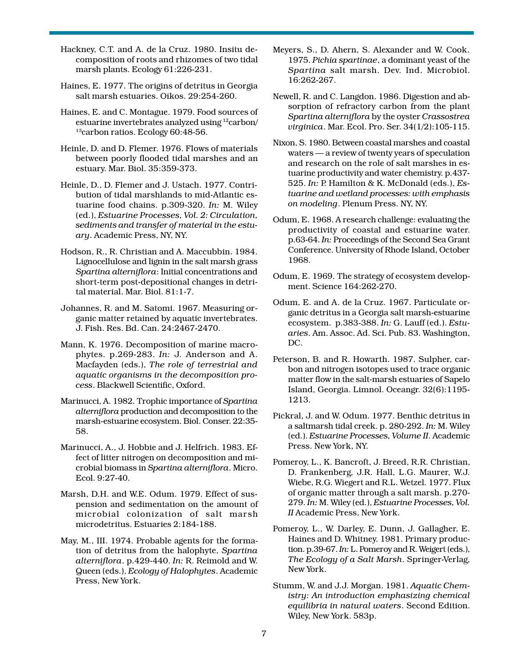Hackney, C.T. and A. de la Cruz. 1980. Insitu decomposition of roots and rhizomes of two tidal marsh plants. Ecology 61:226-231.

- Haines, E. 1977. The origins of detritus in Georgia salt marsh estuaries. Oikos. 29:254-260.
- Haines, E. and C. Montague. 1979. Food sources of estuarine invertebrates analyzed using 12carbon/ <sup>13</sup>carbon ratios. Ecology 60:48-56.
- Heinle, D. and D. Flemer. 1976. Flows of materials between poorly flooded tidal marshes and an estuary. Mar. Biol. 35:359-373.
- Heinle, D., D. Flemer and J. Ustach. 1977. Contribution of tidal marshlands to mid-Atlantic estuarine food chains. p.309-320. In: M. Wiley (ed.), Estuarine Processes, Vol. 2: Circulation, sediments and transfer of material in the estuary. Academic Press, NY, NY.
- Hodson, R., R. Christian and A. Maccubbin. 1984. Lignocellulose and lignin in the salt marsh grass Spartina alterniflora: Initial concentrations and short-term post-depositional changes in detrital material. Mar. Biol. 81:1-7.
- Johannes, R. and M. Satomi. 1967. Measuring organic matter retained by aquatic invertebrates. J. Fish. Res. Bd. Can. 24:2467-2470.
- Mann, K. 1976. Decomposition of marine macrophytes. p.269-283. In: J. Anderson and A. Macfayden (eds.), The role of terrestrial and aquatic organisms in the decomposition process. Blackwell Scientific, Oxford.
- Marinucci, A. 1982. Trophic importance of Spartina alterniflora production and decomposition to the marsh-estuarine ecosystem. Biol. Conser. 22:35- 58.
- Marinucci, A., J. Hobbie and J. Helfrich. 1983. Effect of litter nitrogen on decomposition and microbial biomass in Spartina alterniflora. Micro. Ecol. 9:27-40.
- Marsh, D.H. and W.E. Odum. 1979. Effect of suspension and sedimentation on the amount of microbial colonization of salt marsh microdetritus. Estuaries 2:184-188.
- May, M., III. 1974. Probable agents for the formation of detritus from the halophyte, Spartina alterniflora. p.429-440. In: R. Reimold and W. Queen (eds.), Ecology of Halophytes. Academic Press, New York.
- Meyers, S., D. Ahern, S. Alexander and W. Cook. 1975. Pichia spartinae, a dominant yeast of the Spartina salt marsh. Dev. Ind. Microbiol. 16:262-267.
- Newell, R. and C. Langdon. 1986. Digestion and absorption of refractory carbon from the plant Spartina alterniflora by the oyster Crassostrea virginica. Mar. Ecol. Pro. Ser. 34(1/2):105-115.
- Nixon, S. 1980. Between coastal marshes and coastal  $waters - a review of twenty years of speculation$ and research on the role of salt marshes in estuarine productivity and water chemistry. p.437- 525. In: P. Hamilton & K. McDonald (eds.), Estuarine and wetland processes: with emphasis on modeling. Plenum Press. NY, NY.
- Odum, E. 1968. A research challenge: evaluating the productivity of coastal and estuarine water. p.63-64. In: Proceedings of the Second Sea Grant Conference. University of Rhode Island, October 1968.
- Odum, E. 1969. The strategy of ecosystem development. Science 164:262-270.
- Odum, E. and A. de la Cruz. 1967. Particulate organic detritus in a Georgia salt marsh-estuarine ecosystem. p.383-388. In: G. Lauff (ed.). Estuaries. Am. Assoc. Ad. Sci. Pub. 83. Washington, DC.
- Peterson, B. and R. Howarth. 1987. Sulpher, carbon and nitrogen isotopes used to trace organic matter flow in the salt-marsh estuaries of Sapelo Island, Georgia. Limnol. Oceangr. 32(6):1195- 1213.
- Pickral, J. and W. Odum. 1977. Benthic detritus in a saltmarsh tidal creek. p. 280-292. In: M. Wiley (ed.). Estuarine Processes, Volume II. Academic Press. New York, NY.
- Pomeroy, L., K. Bancroft, J. Breed, R.R. Christian, D. Frankenberg, J.R. Hall, L.G. Maurer, W.J. Wiebe, R.G. Wiegert and R.L. Wetzel. 1977. Flux of organic matter through a salt marsh. p.270- 279. In: M. Wiley (ed.), Estuarine Processes, Vol. II Academic Press, New York.
- Pomeroy, L., W. Darley, E. Dunn, J. Gallagher, E. Haines and D. Whitney. 1981. Primary production. p.39-67. In: L. Pomeroy and R. Weigert (eds.), The Ecology of a Salt Marsh. Springer-Verlag, New York.
- Stumm, W. and J.J. Morgan. 1981. Aquatic Chemistry: An introduction emphasizing chemical equilibria in natural waters. Second Edition. Wiley, New York. 583p.